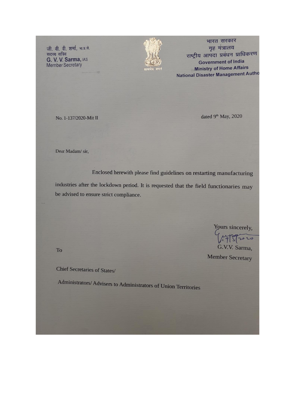जी. वी. वी. शर्मा, भा.प्र.से. सदस्य सचिव G. V. V. Sarma, IAS<br>Member Secretary



भारत सरकार गृह मंत्रालय राष्ट्रीय आपदा प्रबंधन प्राधिकरण **Government of India Ministry of Home Affairs** National Disaster Management Autho

No. 1-137/2020-Mit II

dated 9<sup>th</sup> May, 2020

Dear Madam/sir,

Enclosed herewith please find guidelines on restarting manufacturing

industries after the lockdown period. It is requested that the field functionaries may be advised to ensure strict compliance.

Yours sincerely,

20 G.V.V. Sarma,

**Member Secretary** 

To

**Chief Secretaries of States/** 

Administrators/ Advisers to Administrators of Union Territories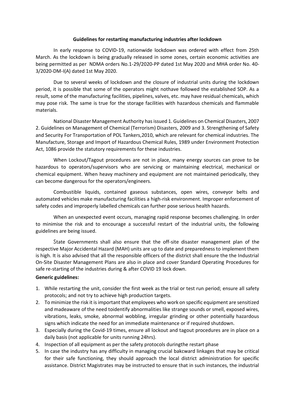#### **Guidelines for restarting manufacturing industries after lockdown**

In early response to COVID-19, nationwide lockdown was ordered with effect from 25th March. As the lockdown is being gradually released in some zones, certain economic activities are being permitted as per NDMA orders No.1-29/2020-PP dated 1st May 2020 and MHA order No. 40- 3/2020-DM-I(A) dated 1st May 2020.

Due to several weeks of lockdown and the closure of industrial units during the lockdown period, it is possible that some of the operators might nothave followed the established SOP. As a result, some of the manufacturing facilities, pipelines, valves, etc. may have residual chemicals, which may pose risk. The same is true for the storage facilities with hazardous chemicals and flammable materials.

National Disaster Management Authority has issued 1. Guidelines on Chemical Disasters, 2007 2. Guidelines on Management of Chemical (Terrorism) Disasters, 2009 and 3. Strengthening of Safety and Security For Transportation of POL Tankers,2010, which are relevant for chemical industries. The Manufacture, Storage and Import of Hazardous Chemical Rules, 1989 under Environment Protection Act, 1086 provide the statutory requirements for these industries.

When Lockout/Tagout procedures are not in place, many energy sources can prove to be hazardous to operators/supervisors who are servicing or maintaining electrical, mechanical or chemical equipment. When heavy machinery and equipment are not maintained periodically, they can become dangerous for the operators/engineers.

Combustible liquids, contained gaseous substances, open wires, conveyor belts and automated vehicles make manufacturing facilities a high-risk environment. Improper enforcement of safety codes and improperly labelled chemicals can further pose serious health hazards.

When an unexpected event occurs, managing rapid response becomes challenging. In order to minimise the risk and to encourage a successful restart of the industrial units, the following guidelines are being issued.

State Governments shall also ensure that the off-site disaster management plan of the respective Major Accidental Hazard (MAH) units are up to date and preparedness to implement them is high. It is also advised that all the responsible officers of the district shall ensure the the Industrial On-Site Disaster Management Plans are also in place and cover Standard Operating Procedures for safe re-starting of the industries during & after COVID 19 lock down.

#### **Generic guidelines:**

- 1. While restarting the unit, consider the first week as the trial or test run period; ensure all safety protocols; and not try to achieve high production targets.
- 2. To minimize the risk it is important that employees who work on specific equipment are sensitized and madeaware of the need toidentify abnormalities like strange sounds or smell, exposed wires, vibrations, leaks, smoke, abnormal wobbling, irregular grinding or other potentially hazardous signs which indicate the need for an immediate maintenance or if required shutdown.
- 3. Especially during the Covid-19 times, ensure all lockout and tagout procedures are in place on a daily basis (not applicable for units running 24hrs).
- 4. Inspection of all equipment as per the safety protocols duringthe restart phase
- 5. In case the industry has any difficulty in managing crucial bakcward linkages that may be critical for their safe functioning, they should approach the local district administration for specific assistance. District Magistrates may be instructed to ensure that in such instances, the industrial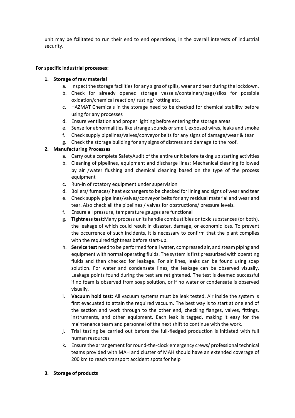unit may be fcilitated to run their end to end operations, in the overall interests of industrial security.

## **For specific industrial processes:**

## **1. Storage of raw material**

- a. Inspect the storage facilities for any signs of spills, wear and tear during the lockdown.
- b. Check for already opened storage vessels/containers/bags/silos for possible oxidation/chemical reaction/ rusting/ rotting etc.
- c. HAZMAT Chemicals in the storage need to be checked for chemical stability before using for any processes
- d. Ensure ventilation and proper lighting before entering the storage areas
- e. Sense for abnormalities like strange sounds or smell, exposed wires, leaks and smoke
- f. Check supply pipelines/valves/conveyor belts for any signs of damage/wear & tear
- g. Check the storage building for any signs of distress and damage to the roof.

## **2. Manufacturing Processes**

- a. Carry out a complete SafetyAudit of the entire unit before taking up starting activities
- b. Cleaning of pipelines, equipment and discharge lines: Mechanical cleaning followed by air /water flushing and chemical cleaning based on the type of the process equipment
- c. Run-in of rotatory equipment under supervision
- d. Boilers/ furnaces/ heat exchangers to be checked for lining and signs of wear and tear
- e. Check supply pipelines/valves/conveyor belts for any residual material and wear and tear. Also check all the pipelines / valves for obstructions/ pressure levels.
- f. Ensure all pressure, temperature gauges are functional
- g. **Tightness test:**Many process units handle combustibles or toxic substances (or both), the leakage of which could result in disaster, damage, or economic loss. To prevent the occurrence of such incidents, it is necessary to confirm that the plant complies with the required tightness before start-up.
- h. **Service test** need to be performed for all water, compressed air, and steam piping and equipment with normal operating fluids. The system is first pressurized with operating fluids and then checked for leakage. For air lines, leaks can be found using soap solution. For water and condensate lines, the leakage can be observed visually. Leakage points found during the test are retightened. The test is deemed successful if no foam is observed from soap solution, or if no water or condensate is observed visually.
- i. **Vacuum hold test:** All vacuum systems must be leak tested. Air inside the system is first evacuated to attain the required vacuum. The best way is to start at one end of the section and work through to the other end, checking flanges, valves, fittings, instruments, and other equipment. Each leak is tagged, making it easy for the maintenance team and personnel of the next shift to continue with the work.
- j. Trial testing be carried out before the full-fledged production is initiated with full human resources
- k. Ensure the arrangement for round-the-clock emergency crews/ professional technical teams provided with MAH and cluster of MAH should have an extended coverage of 200 km to reach transport accident spots for help
- **3. Storage of products**